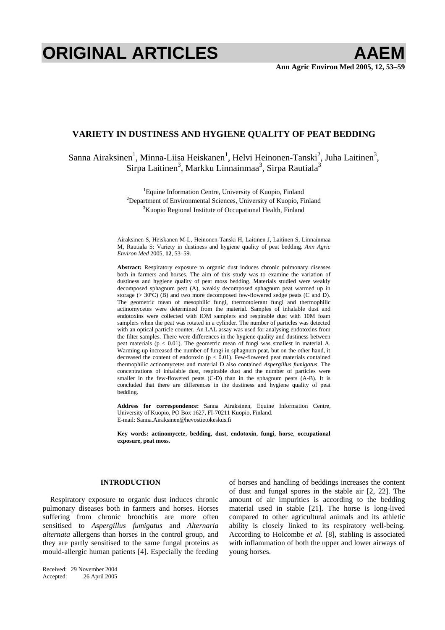# **ORIGINAL ARTICLES AAEM**

# **VARIETY IN DUSTINESS AND HYGIENE QUALITY OF PEAT BEDDING**

# Sanna Airaksinen<sup>1</sup>, Minna-Liisa Heiskanen<sup>1</sup>, Helvi Heinonen-Tanski<sup>2</sup>, Juha Laitinen<sup>3</sup>, Sirpa Laitinen $^3$ , Markku Linnainmaa $^3$ , Sirpa Rautiala $^3$

<sup>1</sup>Equine Information Centre, University of Kuopio, Finland<br><sup>2</sup>Department of Environmental Sciences, University of Kuopio, Fi <sup>2</sup>Department of Environmental Sciences, University of Kuopio, Finland <sup>3</sup>Kuopio Regional Institute of Occupational Health, Finland

Airaksinen S, Heiskanen M-L, Heinonen-Tanski H, Laitinen J, Laitinen S, Linnainmaa M, Rautiala S: Variety in dustiness and hygiene quality of peat bedding. *Ann Agric Environ Med* 2005, **12**, 53–59.

**Abstract:** Respiratory exposure to organic dust induces chronic pulmonary diseases both in farmers and horses. The aim of this study was to examine the variation of dustiness and hygiene quality of peat moss bedding. Materials studied were weakly decomposed sphagnum peat (A), weakly decomposed sphagnum peat warmed up in storage (> 30ºC) (B) and two more decomposed few-flowered sedge peats (C and D). The geometric mean of mesophilic fungi, thermotolerant fungi and thermophilic actinomycetes were determined from the material. Samples of inhalable dust and endotoxins were collected with IOM samplers and respirable dust with 10M foam samplers when the peat was rotated in a cylinder. The number of particles was detected with an optical particle counter. An LAL assay was used for analysing endotoxins from the filter samples. There were differences in the hygiene quality and dustiness between peat materials ( $p < 0.01$ ). The geometric mean of fungi was smallest in material A. Warming-up increased the number of fungi in sphagnum peat, but on the other hand, it decreased the content of endotoxin ( $p < 0.01$ ). Few-flowered peat materials contained thermophilic actinomycetes and material D also contained *Aspergillus fumigatus*. The concentrations of inhalable dust, respirable dust and the number of particles were smaller in the few-flowered peats (C-D) than in the sphagnum peats (A-B). It is concluded that there are differences in the dustiness and hygiene quality of peat bedding.

**Address for correspondence:** Sanna Airaksinen, Equine Information Centre, University of Kuopio, PO Box 1627, FI-70211 Kuopio, Finland. E-mail: Sanna.Airaksinen@hevostietokeskus.fi

**Key words: actinomycete, bedding, dust, endotoxin, fungi, horse, occupational exposure, peat moss.** 

# **INTRODUCTION**

Respiratory exposure to organic dust induces chronic pulmonary diseases both in farmers and horses. Horses suffering from chronic bronchitis are more often sensitised to *Aspergillus fumigatus* and *Alternaria alternata* allergens than horses in the control group, and they are partly sensitised to the same fungal proteins as mould-allergic human patients [4]. Especially the feeding of horses and handling of beddings increases the content of dust and fungal spores in the stable air [2, 22]. The amount of air impurities is according to the bedding material used in stable [21]. The horse is long-lived compared to other agricultural animals and its athletic ability is closely linked to its respiratory well-being. According to Holcombe *et al.* [8], stabling is associated with inflammation of both the upper and lower airways of young horses.

Received: 29 November 2004 Accepted: 26 April 2005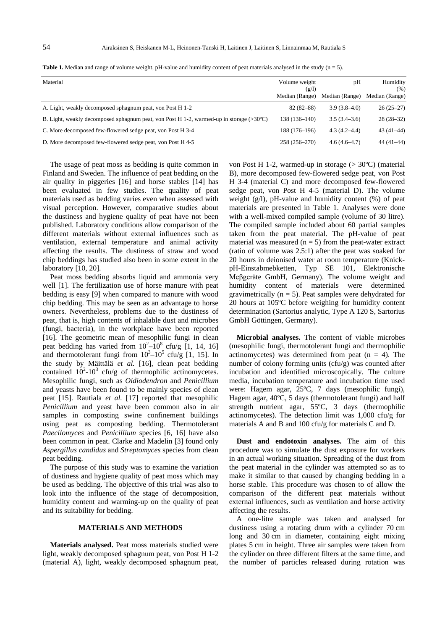| Material                                                                                         | Volume weight<br>(g/l)<br>Median (Range) | pH<br>Median (Range) | Humidity<br>(% )<br>Median (Range) |
|--------------------------------------------------------------------------------------------------|------------------------------------------|----------------------|------------------------------------|
| A. Light, weakly decomposed sphagnum peat, von Post H 1-2                                        | $82(82 - 88)$                            | $3.9(3.8-4.0)$       | $26(25-27)$                        |
| B. Light, weakly decomposed sphagnum peat, von Post H 1-2, warmed-up in storage $(>30^{\circ}C)$ | 138 (136-140)                            | $3.5(3.4-3.6)$       | $28(28-32)$                        |
| C. More decomposed few-flowered sedge peat, von Post H 3-4                                       | 188 (176-196)                            | $4.3(4.2 - 4.4)$     | $43(41-44)$                        |
| D. More decomposed few-flowered sedge peat, von Post H 4-5                                       | 258 (256-270)                            | $4.6(4.6-4.7)$       | $44(41-44)$                        |

**Table 1.** Median and range of volume weight, pH-value and humidity content of peat materials analysed in the study  $(n = 5)$ .

The usage of peat moss as bedding is quite common in Finland and Sweden. The influence of peat bedding on the air quality in piggeries [16] and horse stables [14] has been evaluated in few studies. The quality of peat materials used as bedding varies even when assessed with visual perception. However, comparative studies about the dustiness and hygiene quality of peat have not been published. Laboratory conditions allow comparison of the different materials without external influences such as ventilation, external temperature and animal activity affecting the results. The dustiness of straw and wood chip beddings has studied also been in some extent in the laboratory [10, 20].

Peat moss bedding absorbs liquid and ammonia very well [1]. The fertilization use of horse manure with peat bedding is easy [9] when compared to manure with wood chip bedding. This may be seen as an advantage to horse owners. Nevertheless, problems due to the dustiness of peat, that is, high contents of inhalable dust and microbes (fungi, bacteria), in the workplace have been reported [16]. The geometric mean of mesophilic fungi in clean peat bedding has varied from  $10^2 - 10^8$  cfu/g [1, 14, 16] and thermotolerant fungi from  $10^3 - 10^5$  cfu/g [1, 15]. In the study by Mäittälä *et al.* [16], clean peat bedding contained  $10^2$ -10<sup>3</sup> cfu/g of thermophilic actinomycetes. Mesophilic fungi, such as *Oidiodendron* and *Penicillium* and yeasts have been found to be mainly species of clean peat [15]. Rautiala *et al.* [17] reported that mesophilic *Penicillium* and yeast have been common also in air samples in composting swine confinement buildings using peat as composting bedding. Thermotolerant *Paecilomyces* and *Penicillium* species [6, 16] have also been common in peat. Clarke and Madelin [3] found only *Aspergillus candidus* and *Streptomyces* species from clean peat bedding.

The purpose of this study was to examine the variation of dustiness and hygiene quality of peat moss which may be used as bedding. The objective of this trial was also to look into the influence of the stage of decomposition, humidity content and warming-up on the quality of peat and its suitability for bedding.

## **MATERIALS AND METHODS**

**Materials analysed.** Peat moss materials studied were light, weakly decomposed sphagnum peat, von Post H 1-2 (material A), light, weakly decomposed sphagnum peat, von Post H 1-2, warmed-up in storage (> 30ºC) (material B), more decomposed few-flowered sedge peat, von Post H 3-4 (material C) and more decomposed few-flowered sedge peat, von Post H 4-5 (material D). The volume weight (g/l), pH-value and humidity content (%) of peat materials are presented in Table 1. Analyses were done with a well-mixed compiled sample (volume of 30 litre). The compiled sample included about 60 partial samples taken from the peat material. The pH-value of peat material was measured  $(n = 5)$  from the peat-water extract (ratio of volume was 2.5:1) after the peat was soaked for 20 hours in deionised water at room temperature (KnickpH-Einstabmebketten, Typ SE 101, Elektronische Meßgeräte GmbH, Germany). The volume weight and humidity content of materials were determined gravimetrically  $(n = 5)$ . Peat samples were dehydrated for 20 hours at 105ºC before weighing for humidity content determination (Sartorius analytic, Type A 120 S, Sartorius GmbH Göttingen, Germany).

**Microbial analyses.** The content of viable microbes (mesophilic fungi, thermotolerant fungi and thermophilic actinomycetes) was determined from peat  $(n = 4)$ . The number of colony forming units (cfu/g) was counted after incubation and identified microscopically. The culture media, incubation temperature and incubation time used were: Hagem agar, 25ºC, 7 days (mesophilic fungi), Hagem agar, 40ºC, 5 days (thermotolerant fungi) and half strength nutrient agar, 55ºC, 3 days (thermophilic actinomycetes). The detection limit was 1,000 cfu/g for materials A and B and 100 cfu/g for materials C and D.

**Dust and endotoxin analyses.** The aim of this procedure was to simulate the dust exposure for workers in an actual working situation. Spreading of the dust from the peat material in the cylinder was attempted so as to make it similar to that caused by changing bedding in a horse stable. This procedure was chosen to of allow the comparison of the different peat materials without external influences, such as ventilation and horse activity affecting the results.

A one-litre sample was taken and analysed for dustiness using a rotating drum with a cylinder 70 cm long and 30 cm in diameter, containing eight mixing plates 5 cm in height. Three air samples were taken from the cylinder on three different filters at the same time, and the number of particles released during rotation was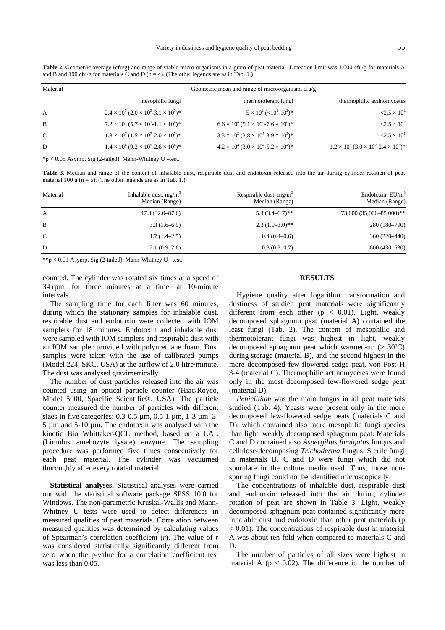| Material     | Geometric mean and range of microorganism, $cfu/g$        |                                                                   |                                                           |  |  |
|--------------|-----------------------------------------------------------|-------------------------------------------------------------------|-----------------------------------------------------------|--|--|
|              | mesophilic fungi                                          | thermotolerant fungi                                              | thermophilic actinomycetes                                |  |  |
| $\mathbf{A}$ | $2.4 \times 10^5 (2.0 \times 10^5 - 3.1 \times 10^5)^*$   | $5 \times 10^2$ (<10 <sup>2</sup> -10 <sup>2</sup> ) <sup>*</sup> | $< 2.5 \times 10^2$                                       |  |  |
| B            | $7.2 \times 10^7$ $(5.7 \times 10^7 - 1.1 \times 10^9)^*$ | $6.6 \times 10^6$ $(5.1 \times 10^6$ -7.6 $\times 10^6)$ *        | $< 2.5 \times 10^2$                                       |  |  |
| $\mathbf C$  | $1.8 \times 10^7$ $(1.5 \times 10^7 - 2.0 \times 10^7)^*$ | $3.3 \times 10^5 (2.8 \times 10^5 - 3.9 \times 10^5)^*$           | $\langle 2.5 \times 10^{1} \rangle$                       |  |  |
| D            | $1.4 \times 10^6 (9.2 \times 10^5 - 2.6 \times 10^6)^*$   | $4.2 \times 10^4$ $(3.0 \times 10^4$ -5.2 $\times 10^4)$ *        | $1.2 \times 10^3$ $(3.0 \times 10^2 - 2.4 \times 10^3)^*$ |  |  |

Table 2. Geometric average (cfu/g) and range of viable micro-organisms in a gram of peat material. Detection limit was 1,000 cfu/g for materials A and B and 100 cfu/g for materials C and D ( $n = 4$ ). (The other legends are as in Tab. 1.)

\*p < 0.05 Asymp. Sig (2-tailed). Mann-Whitney U –test.

**Table 3.** Median and range of the content of inhalable dust, respirable dust and endotoxin released into the air during cylinder rotation of peat material 100 g  $(n = 5)$ . (The other legends are as in Tab. 1.)

| Material      | Inhalable dust, $mg/m^3$<br>Median (Range) | Respirable dust, $mg/m^3$<br>Median (Range) | Endotoxin, $EU/m^3$<br>Median (Range) |
|---------------|--------------------------------------------|---------------------------------------------|---------------------------------------|
| A             | $47.3(32.0 - 87.6)$                        | $5.3(3.4-6.7)$ **                           | 73,000 (35,000-85,000)**              |
| B             | $3.3(1.6-6.9)$                             | $2.3(1.0-3.0)*$                             | 280 (180-790)                         |
| $\mathcal{C}$ | $1.7(1.4-2.5)$                             | $0.4(0.4-0.6)$                              | 360 (220–440)                         |
| D             | $2.1(0.9-2.6)$                             | $0.3(0.3-0.7)$                              | $600(430-630)$                        |

\*\*p < 0.01 Asymp. Sig (2-tailed). Mann-Whitney U –test.

counted. The cylinder was rotated six times at a speed of 34 rpm, for three minutes at a time, at 10-minute intervals.

The sampling time for each filter was 60 minutes, during which the stationary samples for inhalable dust, respirable dust and endotoxin were collected with IOM samplers for 18 minutes. Endotoxin and inhalable dust were sampled with IOM samplers and respirable dust with an IOM sampler provided with polyurethane foam. Dust samples were taken with the use of calibrated pumps (Model 224, SKC, USA) at the airflow of 2.0 litre/minute. The dust was analysed gravimetrically.

The number of dust particles released into the air was counted using an optical particle counter (Hiac/Royco, Model 5000, Spacific Scientific®, USA). The particle counter measured the number of particles with different sizes in five categories:  $0.3{\text -}0.5 \mu$ m,  $0.5{\text -}1 \mu$ m,  $1{\text -}3 \mu$ m,  $3{\text -}$ 5 µm and 5-10 µm. The endotoxin was analysed with the kinetic Bio Whittaker-QCL method, based on a LAL (Limulus amebozyte lysate) enzyme. The sampling procedure was performed five times consecutively for each peat material. The cylinder was vacuumed thoroughly after every rotated material.

**Statistical analyses.** Statistical analyses were carried out with the statistical software package SPSS 10.0 for Windows. The non-parametric Kruskal-Wallis and Mann-Whitney U tests were used to detect differences in measured qualities of peat materials. Correlation between measured qualities was determined by calculating values of Spearman's correlation coefficient (*r*). The value of *r* was considered statistically significantly different from zero when the p-value for a correlation coefficient test was less than 0.05.

## **RESULTS**

Hygiene quality after logarithm transformation and dustiness of studied peat materials were significantly different from each other ( $p < 0.01$ ). Light, weakly decomposed sphagnum peat (material A) contained the least fungi (Tab. 2). The content of mesophilic and thermotolerant fungi was highest in light, weakly decomposed sphagnum peat which warmed-up  $(> 30^{\circ}C)$ during storage (material B), and the second highest in the more decomposed few-flowered sedge peat, von Post H 3-4 (material C). Thermophilic actinomycetes were found only in the most decomposed few-flowered sedge peat (material D).

*Penicillium* was the main fungus in all peat materials studied (Tab. 4). Yeasts were present only in the more decomposed few-flowered sedge peats (materials C and D), which contained also more mesophilic fungi species than light, weakly decomposed sphagnum peat. Materials C and D contained also *Aspergillus fumigatus* fungus and cellulose-decomposing *Trichoderma* fungus. Sterile fungi in materials B, C and D were fungi which did not sporulate in the culture media used. Thus, those nonsporing fungi could not be identified microscopically.

The concentrations of inhalable dust, respirable dust and endotoxin released into the air during cylinder rotation of peat are shown in Table 3. Light, weakly decomposed sphagnum peat contained significantly more inhalable dust and endotoxin than other peat materials (p < 0.01). The concentrations of respirable dust in material A was about ten-fold when compared to materials C and D.

The number of particles of all sizes were highest in material A ( $p < 0.02$ ). The difference in the number of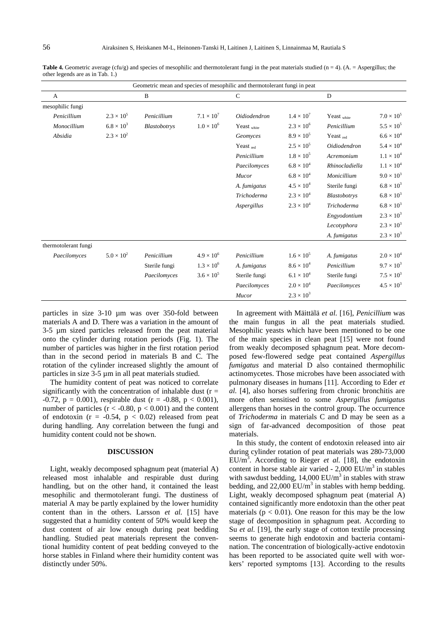| Geometric mean and species of mesophilic and thermotolerant fungi in peat |                     |               |                     |                |                     |                      |                     |
|---------------------------------------------------------------------------|---------------------|---------------|---------------------|----------------|---------------------|----------------------|---------------------|
| A                                                                         |                     | B             |                     | $\mathcal{C}$  |                     | D                    |                     |
| mesophilic fungi                                                          |                     |               |                     |                |                     |                      |                     |
| Penicillium                                                               | $2.3 \times 10^{5}$ | Penicillium   | $7.1 \times 10^7$   | Oidiodendron   | $1.4 \times 10^{7}$ | Yeast white          | $7.0 \times 10^{5}$ |
| Monocillium                                                               | $6.8 \times 10^3$   | Blastobotrys  | $1.0 \times 10^{6}$ | Yeast white    | $2.3 \times 10^{6}$ | Penicillium          | $5.5\times10^5$     |
| Absidia                                                                   | $2.3 \times 10^{2}$ |               |                     | Geomyces       | $8.9 \times 10^{5}$ | Yeast <sub>red</sub> | $6.6 \times 10^{4}$ |
|                                                                           |                     |               |                     | Yeast $_{red}$ | $2.5 \times 10^{5}$ | Oidiodendron         | $5.4 \times 10^{4}$ |
|                                                                           |                     |               |                     | Penicillium    | $1.8 \times 10^{5}$ | Acremonium           | $1.1 \times 10^{4}$ |
|                                                                           |                     |               |                     | Paecilomyces   | $6.8 \times 10^{4}$ | Rhinocladiella       | $1.1 \times 10^{4}$ |
|                                                                           |                     |               |                     | Mucor          | $6.8 \times 10^{4}$ | Monicillium          | $9.0 \times 10^{3}$ |
|                                                                           |                     |               |                     | A. fumigatus   | $4.5 \times 10^{4}$ | Sterile fungi        | $6.8 \times 10^3$   |
|                                                                           |                     |               |                     | Trichoderma    | $2.3 \times 10^{4}$ | Blastobotrys         | $6.8 \times 10^{3}$ |
|                                                                           |                     |               |                     | Aspergillus    | $2.3\times10^4$     | <b>Trichoderma</b>   | $6.8 \times 10^3$   |
|                                                                           |                     |               |                     |                |                     | Engyodontium         | $2.3 \times 10^{3}$ |
|                                                                           |                     |               |                     |                |                     | Lecotyphora          | $2.3 \times 10^{3}$ |
|                                                                           |                     |               |                     |                |                     | A. fumigatus         | $2.3 \times 10^{3}$ |
| thermotolerant fungi                                                      |                     |               |                     |                |                     |                      |                     |
| Paecilomyces                                                              | $5.0 \times 10^{2}$ | Penicillium   | $4.9 \times 10^{6}$ | Penicillium    | $1.6 \times 10^{5}$ | A. fumigatus         | $2.0 \times 10^{4}$ |
|                                                                           |                     | Sterile fungi | $1.3 \times 10^{6}$ | A. fumigatus   | $8.6 \times 10^{4}$ | Penicillium          | $9.7 \times 10^{3}$ |
|                                                                           |                     | Paecilomyces  | $3.6 \times 10^{5}$ | Sterile fungi  | $6.1 \times 10^{4}$ | Sterile fungi        | $7.5 \times 10^{3}$ |
|                                                                           |                     |               |                     | Paecilomyces   | $2.0 \times 10^{4}$ | Paecilomyces         | $4.5 \times 10^{3}$ |
|                                                                           |                     |               |                     | Mucor          | $2.3 \times 10^{3}$ |                      |                     |

Table 4. Geometric average (cfu/g) and species of mesophilic and thermotolerant fungi in the peat materials studied (n = 4). (A. = Aspergillus; the other legends are as in Tab. 1.)

particles in size 3-10 µm was over 350-fold between materials A and D. There was a variation in the amount of 3-5 µm sized particles released from the peat material onto the cylinder during rotation periods (Fig. 1). The number of particles was higher in the first rotation period than in the second period in materials B and C. The rotation of the cylinder increased slightly the amount of particles in size 3-5 µm in all peat materials studied.

The humidity content of peat was noticed to correlate significantly with the concentration of inhalable dust  $(r =$ -0.72,  $p = 0.001$ ), respirable dust (r = -0.88,  $p < 0.001$ ), number of particles  $(r < -0.80, p < 0.001)$  and the content of endotoxin ( $r = -0.54$ ,  $p < 0.02$ ) released from peat during handling. Any correlation between the fungi and humidity content could not be shown.

### **DISCUSSION**

Light, weakly decomposed sphagnum peat (material A) released most inhalable and respirable dust during handling, but on the other hand, it contained the least mesophilic and thermotolerant fungi. The dustiness of material A may be partly explained by the lower humidity content than in the others. Larsson *et al.* [15] have suggested that a humidity content of 50% would keep the dust content of air low enough during peat bedding handling. Studied peat materials represent the conventional humidity content of peat bedding conveyed to the horse stables in Finland where their humidity content was distinctly under 50%.

In agreement with Mäittälä *et al.* [16], *Penicillium* was the main fungus in all the peat materials studied. Mesophilic yeasts which have been mentioned to be one of the main species in clean peat [15] were not found from weakly decomposed sphagnum peat. More decomposed few-flowered sedge peat contained *Aspergillus fumigatus* and material D also contained thermophilic actinomycetes. Those microbes have been associated with pulmonary diseases in humans [11]. According to Eder *et al.* [4], also horses suffering from chronic bronchitis are more often sensitised to some *Aspergillus fumigatus* allergens than horses in the control group. The occurrence of *Trichoderma* in materials C and D may be seen as a sign of far-advanced decomposition of those peat materials.

In this study, the content of endotoxin released into air during cylinder rotation of peat materials was 280-73,000  $EU/m<sup>3</sup>$ . According to Rieger *et al.* [18], the endotoxin content in horse stable air varied -  $2,000$  EU/m<sup>3</sup> in stables with sawdust bedding,  $14,000$  EU/m<sup>3</sup> in stables with straw bedding, and  $22,000$  EU/m<sup>3</sup> in stables with hemp bedding. Light, weakly decomposed sphagnum peat (material A) contained significantly more endotoxin than the other peat materials ( $p < 0.01$ ). One reason for this may be the low stage of decomposition in sphagnum peat. According to Su *et al.* [19], the early stage of cotton textile processing seems to generate high endotoxin and bacteria contamination. The concentration of biologically-active endotoxin has been reported to be associated quite well with workers' reported symptoms [13]. According to the results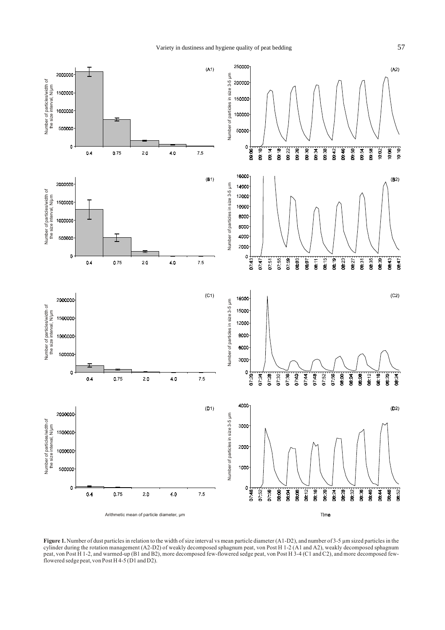

Figure 1. Number of dust particles in relation to the width of size interval vs mean particle diameter (A1-D2), and number of 3-5 µm sized particles in the cylinder during the rotation management (A2-D2) of weakly decomposed sphagnum peat, von Post H 1-2 (A1 and A2), weakly decomposed sphagnum peat, von Post H 1-2, and warmed-up (B1 and B2), more decomposed few-flowered sedge peat, von Post H 3-4 (C1 and C2), and more decomposed fewflowered sedge peat, von Post H 4-5 ( $\overline{D}$ 1 and D2).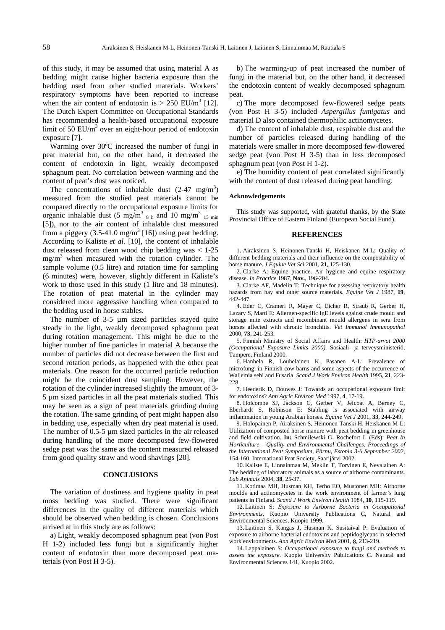of this study, it may be assumed that using material A as bedding might cause higher bacteria exposure than the bedding used from other studied materials. Workers' respiratory symptoms have been reported to increase when the air content of endotoxin is  $> 250$  EU/m<sup>3</sup> [12]. The Dutch Expert Committee on Occupational Standards has recommended a health-based occupational exposure limit of 50  $EU/m^3$  over an eight-hour period of endotoxin exposure [7].

Warming over 30ºC increased the number of fungi in peat material but, on the other hand, it decreased the content of endotoxin in light, weakly decomposed sphagnum peat. No correlation between warming and the content of peat's dust was noticed.

The concentrations of inhalable dust  $(2-47 \text{ mg/m}^3)$ measured from the studied peat materials cannot be compared directly to the occupational exposure limits for organic inhalable dust (5 mg/m<sup>3</sup>  $_{8 \text{ h}}$  and 10 mg/m<sup>3</sup>  $_{15 \text{ min}}$ [5]), nor to the air content of inhalable dust measured from a piggery  $(3.5{\text -}41.0 \text{ mg/m}^3 \,[16])$  using peat bedding. According to Kaliste *et al.* [10], the content of inhalable dust released from clean wood chip bedding was  $< 1-25$ mg/m3 when measured with the rotation cylinder. The sample volume (0.5 litre) and rotation time for sampling (6 minutes) were, however, slightly different in Kaliste's work to those used in this study (1 litre and 18 minutes). The rotation of peat material in the cylinder may considered more aggressive handling when compared to the bedding used in horse stables.

The number of 3-5  $\mu$ m sized particles stayed quite steady in the light, weakly decomposed sphagnum peat during rotation management. This might be due to the higher number of fine particles in material A because the number of particles did not decrease between the first and second rotation periods, as happened with the other peat materials. One reason for the occurred particle reduction might be the coincident dust sampling. However, the rotation of the cylinder increased slightly the amount of 3- 5 µm sized particles in all the peat materials studied. This may be seen as a sign of peat materials grinding during the rotation. The same grinding of peat might happen also in bedding use, especially when dry peat material is used. The number of 0.5-5  $\mu$ m sized particles in the air released during handling of the more decomposed few-flowered sedge peat was the same as the content measured released from good quality straw and wood shavings [20].

#### **CONCLUSIONS**

The variation of dustiness and hygiene quality in peat moss bedding was studied. There were significant differences in the quality of different materials which should be observed when bedding is chosen. Conclusions arrived at in this study are as follows:

a) Light, weakly decomposed sphagnum peat (von Post H 1-2) included less fungi but a significantly higher content of endotoxin than more decomposed peat materials (von Post H 3-5).

b) The warming-up of peat increased the number of fungi in the material but, on the other hand, it decreased the endotoxin content of weakly decomposed sphagnum peat.

c) The more decomposed few-flowered sedge peats (von Post H 3-5) included *Aspergillus fumigatus* and material D also contained thermophilic actinomycetes.

d) The content of inhalable dust, respirable dust and the number of particles released during handling of the materials were smaller in more decomposed few-flowered sedge peat (von Post H 3-5) than in less decomposed sphagnum peat (von Post H 1-2).

e) The humidity content of peat correlated significantly with the content of dust released during peat handling.

#### **Acknowledgements**

This study was supported, with grateful thanks, by the State Provincial Office of Eastern Finland (European Social Fund).

### **REFERENCES**

1. Airaksinen S, Heinonen-Tanski H, Heiskanen M-L: Quality of different bedding materials and their influence on the compostability of horse manure. *J Equine Vet Sci* 2001, **21**, 125-130.

2. Clarke A: Equine practice. Air hygiene and equine respiratory disease. *In Practice* 1987, **Nov.**, 196-204.

3. Clarke AF, Madelin T: Technique for assessing respiratory health hazards from hay and other source materials. *Equine Vet J* 1987, **19**, 442-447.

4. Eder C, Crameri R, Mayer C, Eicher R, Straub R, Gerber H, Lazary S, Marti E: Allergen-specific IgE levels against crude mould and storage mite extracts and recombinant mould allergens in sera from horses affected with chronic bronchitis. *Vet Immunol Immunopathol* 2000, **73**, 241-253.

5. Finnish Ministry of Social Affairs and Health: *HTP-arvot 2000 (Occupational Exposure Limits 2000)*. Sosiaali- ja terveysministeriö, Tampere, Finland 2000.

6. Hanhela R, Louhelainen K, Pasanen A-L: Prevalence of microfungi in Finnish cow barns and some aspects of the occurrence of Wallemia sebi and Fusaria. *Scand J Work Environ Health* 1995, **21**, 223- 228.

7. Heederik D, Douwes J: Towards an occupational exposure limit for endotoxins? *Ann Agric Environ Med* 1997, **4**, 17-19.

8. Holcombe SJ, Jackson C, Gerber V, Jefcoat A, Berney C, Eberhardt S, Robinson E: Stabling is associated with airway inflammation in young Arabian horses. *Equine Vet J* 2001, **33**, 244-249.

9. Holopainen P, Airaksinen S, Heinonen-Tanski H, Heiskanen M-L: Utilization of composted horse manure with peat bedding in greenhouse and field cultivation. **In:** Schmilewski G, Rochefort L (Eds): *Peat In Horticulture - Quality and Environmental Challenges. Proceedings of the International Peat Symposium, Pärnu, Estonia 3-6 September 2002*, 154-160. International Peat Society, Saarijärvi 2002.

10. Kaliste E, Linnainmaa M, Meklin T, Torvinen E, Nevalainen A: The bedding of laboratory animals as a source of airborne contaminants. *Lab Animals* 2004, **38**, 25-37.

11. Kotimaa MH, Husman KH, Terho EO, Mustonen MH: Airborne moulds and actinomycetes in the work environment of farmer's lung patients in Finland. *Scand J Work Environ Health* 1984, **10**, 115-119.

12. Laitinen S: *Exposure to Airborne Bacteria in Occupational Environments*. Kuopio University Publications C, Natural and Environmental Sciences, Kuopio 1999.

13. Laitinen S, Kangas J, Husman K, Susitaival P: Evaluation of exposure to airborne bacterial endotoxins and peptidoglycans in selected work environments. *Ann Agric Environ Med* 2001, **8**, 213-219.

14. Lappalainen S: *Occupational exposure to fungi and methods to assess the exposure*. Kuopio University Publications C. Natural and Environmental Sciences 141, Kuopio 2002.